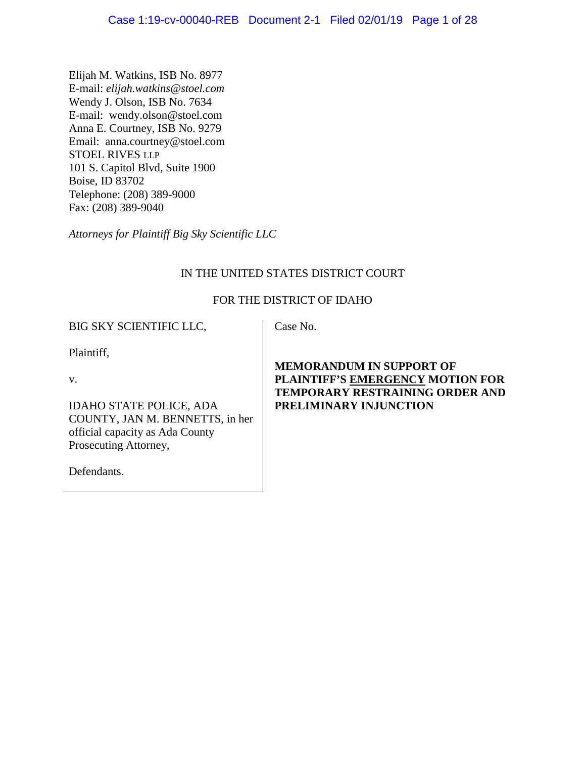Elijah M. Watkins, ISB No. 8977 E-mail: *elijah.watkins@stoel.com* Wendy J. Olson, ISB No. 7634 E-mail: wendy.olson@stoel.com Anna E. Courtney, ISB No. 9279 Email: anna.courtney@stoel.com STOEL RIVES LLP 101 S. Capitol Blvd, Suite 1900 Boise, ID 83702 Telephone: (208) 389-9000 Fax: (208) 389-9040

*Attorneys for Plaintiff Big Sky Scientific LLC*

# IN THE UNITED STATES DISTRICT COURT

# FOR THE DISTRICT OF IDAHO

BIG SKY SCIENTIFIC LLC,

Case No.

Plaintiff,

v.

IDAHO STATE POLICE, ADA COUNTY, JAN M. BENNETTS, in her official capacity as Ada County Prosecuting Attorney,

Defendants.

# **MEMORANDUM IN SUPPORT OF PLAINTIFF'S EMERGENCY MOTION FOR TEMPORARY RESTRAINING ORDER AND PRELIMINARY INJUNCTION**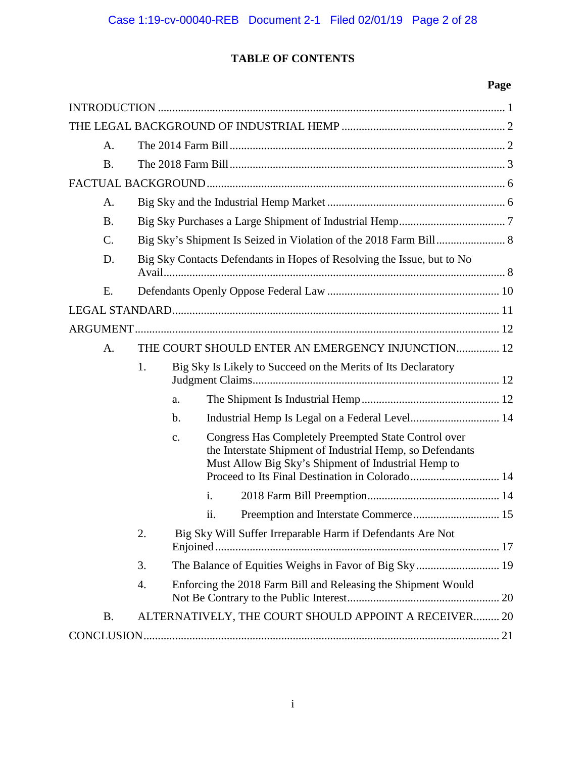# **TABLE OF CONTENTS**

# **Page**

| A.              |                                                                        |    |                                                                                                                                                                                 |  |  |  |
|-----------------|------------------------------------------------------------------------|----|---------------------------------------------------------------------------------------------------------------------------------------------------------------------------------|--|--|--|
| <b>B.</b>       |                                                                        |    |                                                                                                                                                                                 |  |  |  |
|                 |                                                                        |    |                                                                                                                                                                                 |  |  |  |
| A.              |                                                                        |    |                                                                                                                                                                                 |  |  |  |
| <b>B.</b>       |                                                                        |    |                                                                                                                                                                                 |  |  |  |
| $\mathcal{C}$ . |                                                                        |    |                                                                                                                                                                                 |  |  |  |
| D.              | Big Sky Contacts Defendants in Hopes of Resolving the Issue, but to No |    |                                                                                                                                                                                 |  |  |  |
| E.              |                                                                        |    |                                                                                                                                                                                 |  |  |  |
|                 |                                                                        |    |                                                                                                                                                                                 |  |  |  |
|                 |                                                                        |    |                                                                                                                                                                                 |  |  |  |
| A.              |                                                                        |    | THE COURT SHOULD ENTER AN EMERGENCY INJUNCTION 12                                                                                                                               |  |  |  |
|                 | 1.                                                                     |    | Big Sky Is Likely to Succeed on the Merits of Its Declaratory                                                                                                                   |  |  |  |
|                 |                                                                        | a. |                                                                                                                                                                                 |  |  |  |
|                 |                                                                        | b. | Industrial Hemp Is Legal on a Federal Level 14                                                                                                                                  |  |  |  |
|                 |                                                                        | c. | <b>Congress Has Completely Preempted State Control over</b><br>the Interstate Shipment of Industrial Hemp, so Defendants<br>Must Allow Big Sky's Shipment of Industrial Hemp to |  |  |  |
|                 |                                                                        |    | $\mathbf{i}$ .                                                                                                                                                                  |  |  |  |
|                 |                                                                        |    | ii.                                                                                                                                                                             |  |  |  |
|                 | 2.                                                                     |    | Big Sky Will Suffer Irreparable Harm if Defendants Are Not                                                                                                                      |  |  |  |
|                 | 3.                                                                     |    |                                                                                                                                                                                 |  |  |  |
|                 | 4.                                                                     |    | Enforcing the 2018 Farm Bill and Releasing the Shipment Would                                                                                                                   |  |  |  |
| <b>B.</b>       |                                                                        |    | ALTERNATIVELY, THE COURT SHOULD APPOINT A RECEIVER 20                                                                                                                           |  |  |  |
|                 |                                                                        |    |                                                                                                                                                                                 |  |  |  |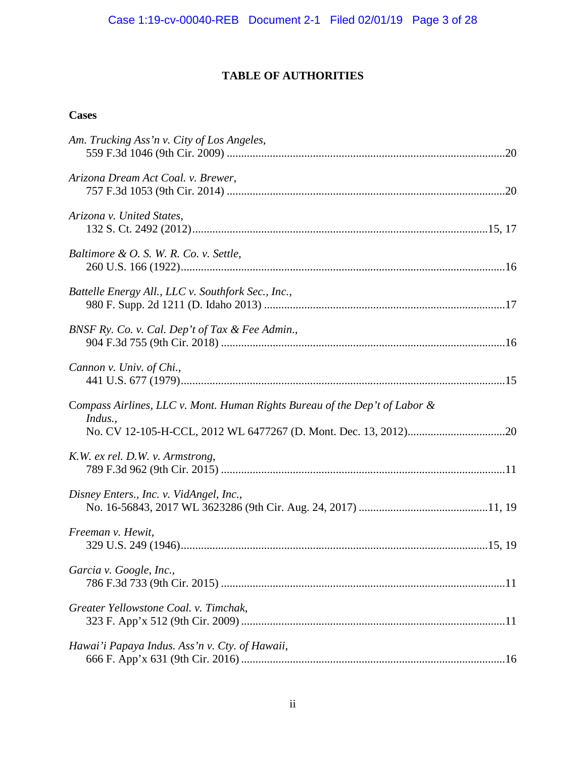# **TABLE OF AUTHORITIES**

# **Cases**

| Am. Trucking Ass'n v. City of Los Angeles,                                            |  |
|---------------------------------------------------------------------------------------|--|
| Arizona Dream Act Coal. v. Brewer,                                                    |  |
| Arizona v. United States,                                                             |  |
| Baltimore & O. S. W. R. Co. v. Settle,                                                |  |
| Battelle Energy All., LLC v. Southfork Sec., Inc.,                                    |  |
| BNSF Ry. Co. v. Cal. Dep't of Tax & Fee Admin.,                                       |  |
| Cannon v. Univ. of Chi.,                                                              |  |
| Compass Airlines, LLC v. Mont. Human Rights Bureau of the Dep't of Labor &<br>Indus., |  |
| K.W. ex rel. D.W. v. Armstrong,                                                       |  |
| Disney Enters., Inc. v. VidAngel, Inc.,                                               |  |
| Freeman v. Hewit,                                                                     |  |
| Garcia v. Google, Inc.,                                                               |  |
| Greater Yellowstone Coal. v. Timchak,                                                 |  |
| Hawai'i Papaya Indus. Ass'n v. Cty. of Hawaii,                                        |  |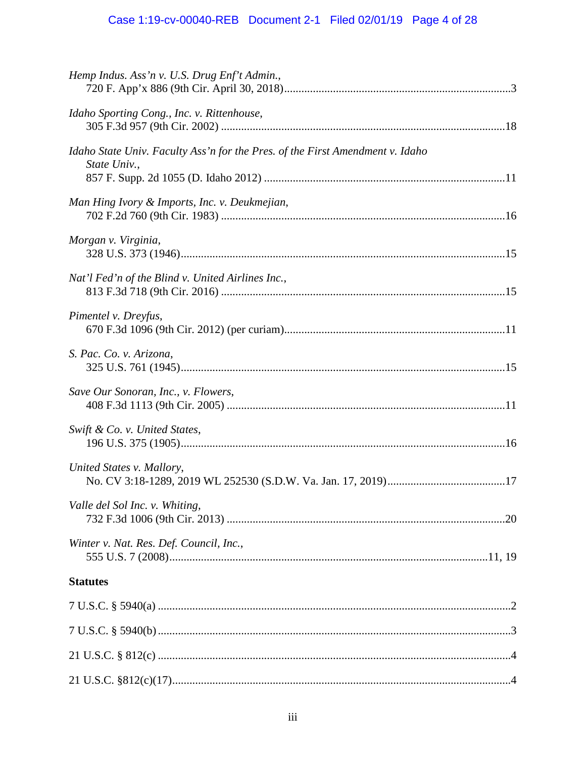# Case 1:19-cv-00040-REB Document 2-1 Filed 02/01/19 Page 4 of 28

| Hemp Indus. Ass'n v. U.S. Drug Enf't Admin.,                                                  |  |
|-----------------------------------------------------------------------------------------------|--|
| Idaho Sporting Cong., Inc. v. Rittenhouse,                                                    |  |
| Idaho State Univ. Faculty Ass'n for the Pres. of the First Amendment v. Idaho<br>State Univ., |  |
| Man Hing Ivory & Imports, Inc. v. Deukmejian,                                                 |  |
| Morgan v. Virginia,                                                                           |  |
| Nat'l Fed'n of the Blind v. United Airlines Inc.,                                             |  |
| Pimentel v. Dreyfus,                                                                          |  |
| S. Pac. Co. v. Arizona,                                                                       |  |
| Save Our Sonoran, Inc., v. Flowers,                                                           |  |
| Swift & Co. v. United States,                                                                 |  |
| United States v. Mallory,                                                                     |  |
| Valle del Sol Inc. v. Whiting,                                                                |  |
| Winter v. Nat. Res. Def. Council, Inc.,                                                       |  |
| <b>Statutes</b>                                                                               |  |
|                                                                                               |  |
|                                                                                               |  |
|                                                                                               |  |
|                                                                                               |  |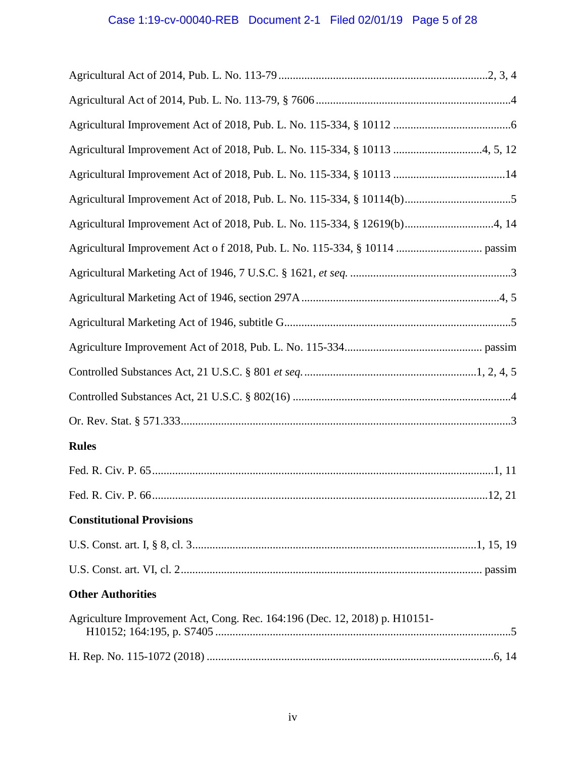# Case 1:19-cv-00040-REB Document 2-1 Filed 02/01/19 Page 5 of 28

| Agricultural Improvement Act of 2018, Pub. L. No. 115-334, § 12619(b)4, 14 |  |
|----------------------------------------------------------------------------|--|
|                                                                            |  |
|                                                                            |  |
|                                                                            |  |
|                                                                            |  |
|                                                                            |  |
|                                                                            |  |
|                                                                            |  |
|                                                                            |  |
| <b>Rules</b>                                                               |  |
|                                                                            |  |
|                                                                            |  |
| <b>Constitutional Provisions</b>                                           |  |
|                                                                            |  |
|                                                                            |  |
| <b>Other Authorities</b>                                                   |  |
| Agriculture Improvement Act, Cong. Rec. 164:196 (Dec. 12, 2018) p. H10151- |  |
|                                                                            |  |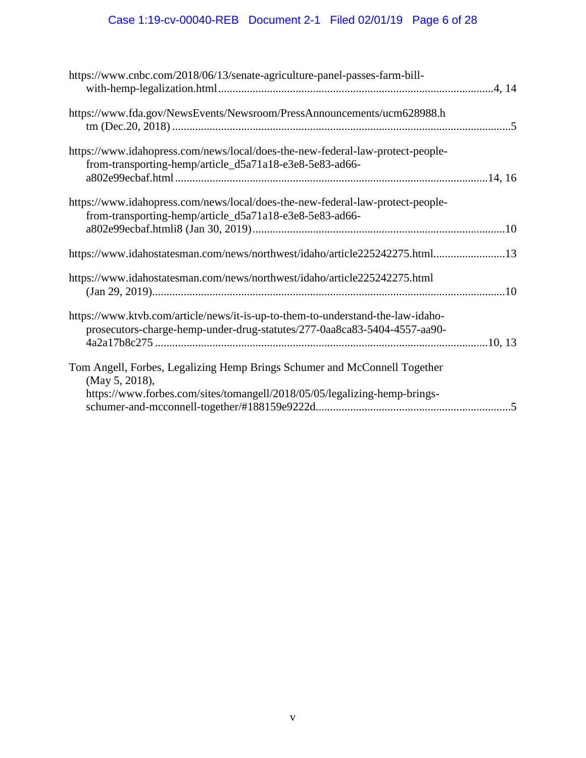# Case 1:19-cv-00040-REB Document 2-1 Filed 02/01/19 Page 6 of 28

| https://www.cnbc.com/2018/06/13/senate-agriculture-panel-passes-farm-bill-                                                                                               |  |
|--------------------------------------------------------------------------------------------------------------------------------------------------------------------------|--|
| https://www.fda.gov/NewsEvents/Newsroom/PressAnnouncements/ucm628988.h                                                                                                   |  |
| https://www.idahopress.com/news/local/does-the-new-federal-law-protect-people-<br>from-transporting-hemp/article_d5a71a18-e3e8-5e83-ad66-                                |  |
| https://www.idahopress.com/news/local/does-the-new-federal-law-protect-people-<br>from-transporting-hemp/article_d5a71a18-e3e8-5e83-ad66-                                |  |
| https://www.idahostatesman.com/news/northwest/idaho/article225242275.html13                                                                                              |  |
| https://www.idahostatesman.com/news/northwest/idaho/article225242275.html<br>$\frac{(\text{Jan }29, 2019) \dots}{\text{Man }29}$                                         |  |
| https://www.ktvb.com/article/news/it-is-up-to-them-to-understand-the-law-idaho-<br>prosecutors-charge-hemp-under-drug-statutes/277-0aa8ca83-5404-4557-aa90-              |  |
| Tom Angell, Forbes, Legalizing Hemp Brings Schumer and McConnell Together<br>(May 5, 2018),<br>https://www.forbes.com/sites/tomangell/2018/05/05/legalizing-hemp-brings- |  |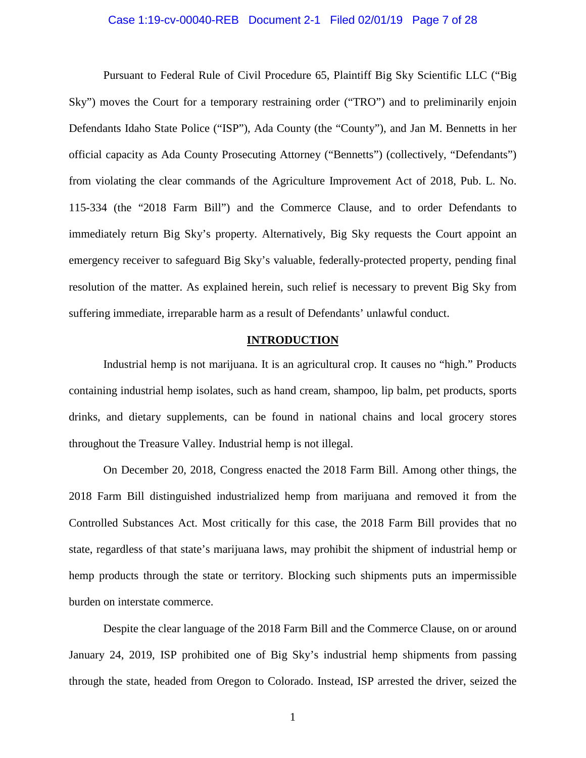#### Case 1:19-cv-00040-REB Document 2-1 Filed 02/01/19 Page 7 of 28

Pursuant to Federal Rule of Civil Procedure 65, Plaintiff Big Sky Scientific LLC ("Big Sky") moves the Court for a temporary restraining order ("TRO") and to preliminarily enjoin Defendants Idaho State Police ("ISP"), Ada County (the "County"), and Jan M. Bennetts in her official capacity as Ada County Prosecuting Attorney ("Bennetts") (collectively, "Defendants") from violating the clear commands of the Agriculture Improvement Act of 2018, Pub. L. No. 115-334 (the "2018 Farm Bill") and the Commerce Clause, and to order Defendants to immediately return Big Sky's property. Alternatively, Big Sky requests the Court appoint an emergency receiver to safeguard Big Sky's valuable, federally-protected property, pending final resolution of the matter. As explained herein, such relief is necessary to prevent Big Sky from suffering immediate, irreparable harm as a result of Defendants' unlawful conduct.

## **INTRODUCTION**

Industrial hemp is not marijuana. It is an agricultural crop. It causes no "high." Products containing industrial hemp isolates, such as hand cream, shampoo, lip balm, pet products, sports drinks, and dietary supplements, can be found in national chains and local grocery stores throughout the Treasure Valley. Industrial hemp is not illegal.

On December 20, 2018, Congress enacted the 2018 Farm Bill. Among other things, the 2018 Farm Bill distinguished industrialized hemp from marijuana and removed it from the Controlled Substances Act. Most critically for this case, the 2018 Farm Bill provides that no state, regardless of that state's marijuana laws, may prohibit the shipment of industrial hemp or hemp products through the state or territory. Blocking such shipments puts an impermissible burden on interstate commerce.

Despite the clear language of the 2018 Farm Bill and the Commerce Clause, on or around January 24, 2019, ISP prohibited one of Big Sky's industrial hemp shipments from passing through the state, headed from Oregon to Colorado. Instead, ISP arrested the driver, seized the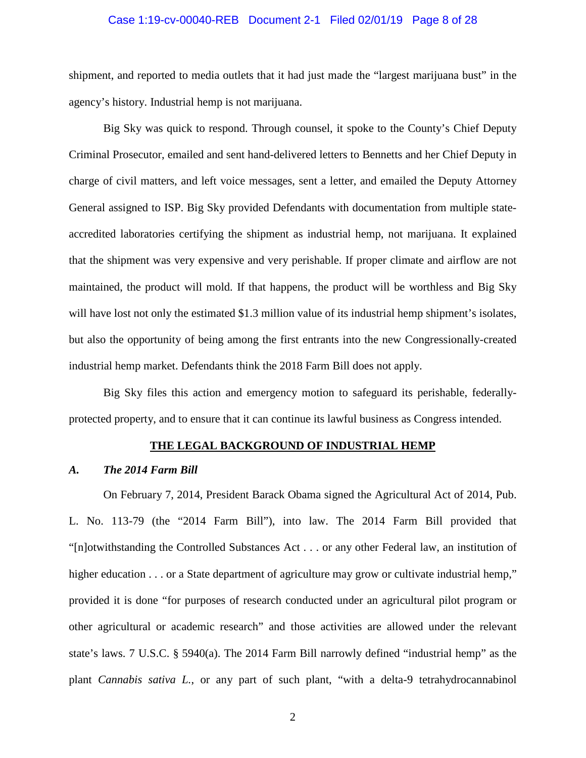#### Case 1:19-cv-00040-REB Document 2-1 Filed 02/01/19 Page 8 of 28

shipment, and reported to media outlets that it had just made the "largest marijuana bust" in the agency's history. Industrial hemp is not marijuana.

Big Sky was quick to respond. Through counsel, it spoke to the County's Chief Deputy Criminal Prosecutor, emailed and sent hand-delivered letters to Bennetts and her Chief Deputy in charge of civil matters, and left voice messages, sent a letter, and emailed the Deputy Attorney General assigned to ISP. Big Sky provided Defendants with documentation from multiple stateaccredited laboratories certifying the shipment as industrial hemp, not marijuana. It explained that the shipment was very expensive and very perishable. If proper climate and airflow are not maintained, the product will mold. If that happens, the product will be worthless and Big Sky will have lost not only the estimated \$1.3 million value of its industrial hemp shipment's isolates, but also the opportunity of being among the first entrants into the new Congressionally-created industrial hemp market. Defendants think the 2018 Farm Bill does not apply.

Big Sky files this action and emergency motion to safeguard its perishable, federallyprotected property, and to ensure that it can continue its lawful business as Congress intended.

#### **THE LEGAL BACKGROUND OF INDUSTRIAL HEMP**

#### *A. The 2014 Farm Bill*

On February 7, 2014, President Barack Obama signed the Agricultural Act of 2014, Pub. L. No. 113-79 (the "2014 Farm Bill"), into law. The 2014 Farm Bill provided that "[n]otwithstanding the Controlled Substances Act . . . or any other Federal law, an institution of higher education . . . or a State department of agriculture may grow or cultivate industrial hemp," provided it is done "for purposes of research conducted under an agricultural pilot program or other agricultural or academic research" and those activities are allowed under the relevant state's laws. 7 U.S.C. § 5940(a). The 2014 Farm Bill narrowly defined "industrial hemp" as the plant *Cannabis sativa L.*, or any part of such plant, "with a delta-9 tetrahydrocannabinol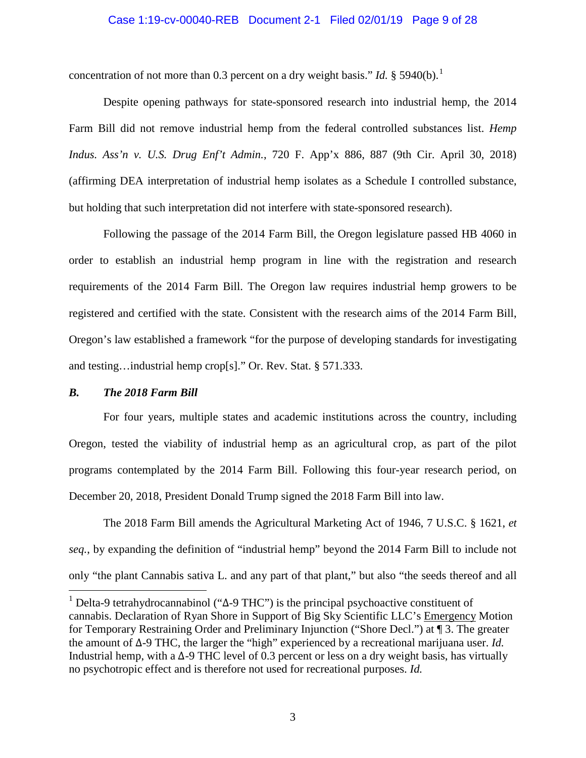#### Case 1:19-cv-00040-REB Document 2-1 Filed 02/01/19 Page 9 of 28

concentration of not more than 0.3 percent on a dry weight basis." *Id.*  $\S$  5940(b).<sup>[1](#page-8-0)</sup>

Despite opening pathways for state-sponsored research into industrial hemp, the 2014 Farm Bill did not remove industrial hemp from the federal controlled substances list. *Hemp Indus. Ass'n v. U.S. Drug Enf't Admin.*, 720 F. App'x 886, 887 (9th Cir. April 30, 2018) (affirming DEA interpretation of industrial hemp isolates as a Schedule I controlled substance, but holding that such interpretation did not interfere with state-sponsored research).

Following the passage of the 2014 Farm Bill, the Oregon legislature passed HB 4060 in order to establish an industrial hemp program in line with the registration and research requirements of the 2014 Farm Bill. The Oregon law requires industrial hemp growers to be registered and certified with the state. Consistent with the research aims of the 2014 Farm Bill, Oregon's law established a framework "for the purpose of developing standards for investigating and testing…industrial hemp crop[s]." Or. Rev. Stat. § 571.333.

#### *B. The 2018 Farm Bill*

For four years, multiple states and academic institutions across the country, including Oregon, tested the viability of industrial hemp as an agricultural crop, as part of the pilot programs contemplated by the 2014 Farm Bill. Following this four-year research period, on December 20, 2018, President Donald Trump signed the 2018 Farm Bill into law.

The 2018 Farm Bill amends the Agricultural Marketing Act of 1946, 7 U.S.C. § 1621, *et seq.*, by expanding the definition of "industrial hemp" beyond the 2014 Farm Bill to include not only "the plant Cannabis sativa L. and any part of that plant," but also "the seeds thereof and all

<span id="page-8-0"></span><sup>&</sup>lt;sup>1</sup> Delta-9 tetrahydrocannabinol ("Δ-9 THC") is the principal psychoactive constituent of cannabis. Declaration of Ryan Shore in Support of Big Sky Scientific LLC's Emergency Motion for Temporary Restraining Order and Preliminary Injunction ("Shore Decl.") at ¶ 3. The greater the amount of ∆-9 THC, the larger the "high" experienced by a recreational marijuana user. *Id.* Industrial hemp, with a ∆-9 THC level of 0.3 percent or less on a dry weight basis, has virtually no psychotropic effect and is therefore not used for recreational purposes. *Id.*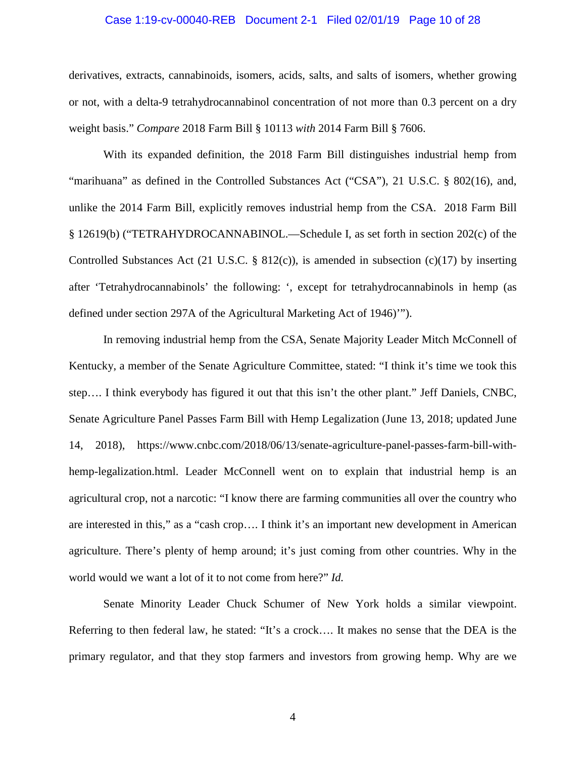#### Case 1:19-cv-00040-REB Document 2-1 Filed 02/01/19 Page 10 of 28

derivatives, extracts, cannabinoids, isomers, acids, salts, and salts of isomers, whether growing or not, with a delta-9 tetrahydrocannabinol concentration of not more than 0.3 percent on a dry weight basis." *Compare* 2018 Farm Bill § 10113 *with* 2014 Farm Bill § 7606.

With its expanded definition, the 2018 Farm Bill distinguishes industrial hemp from "marihuana" as defined in the Controlled Substances Act ("CSA"), 21 U.S.C. § 802(16), and, unlike the 2014 Farm Bill, explicitly removes industrial hemp from the CSA. 2018 Farm Bill § 12619(b) ("TETRAHYDROCANNABINOL.—Schedule I, as set forth in section 202(c) of the Controlled Substances Act (21 U.S.C. § 812(c)), is amended in subsection (c)(17) by inserting after 'Tetrahydrocannabinols' the following: ', except for tetrahydrocannabinols in hemp (as defined under section 297A of the Agricultural Marketing Act of 1946)'").

In removing industrial hemp from the CSA, Senate Majority Leader Mitch McConnell of Kentucky, a member of the Senate Agriculture Committee, stated: "I think it's time we took this step…. I think everybody has figured it out that this isn't the other plant." Jeff Daniels, CNBC, Senate Agriculture Panel Passes Farm Bill with Hemp Legalization (June 13, 2018; updated June 14, 2018), https://www.cnbc.com/2018/06/13/senate-agriculture-panel-passes-farm-bill-withhemp-legalization.html. Leader McConnell went on to explain that industrial hemp is an agricultural crop, not a narcotic: "I know there are farming communities all over the country who are interested in this," as a "cash crop…. I think it's an important new development in American agriculture. There's plenty of hemp around; it's just coming from other countries. Why in the world would we want a lot of it to not come from here?" *Id.* 

Senate Minority Leader Chuck Schumer of New York holds a similar viewpoint. Referring to then federal law, he stated: "It's a crock…. It makes no sense that the DEA is the primary regulator, and that they stop farmers and investors from growing hemp. Why are we

4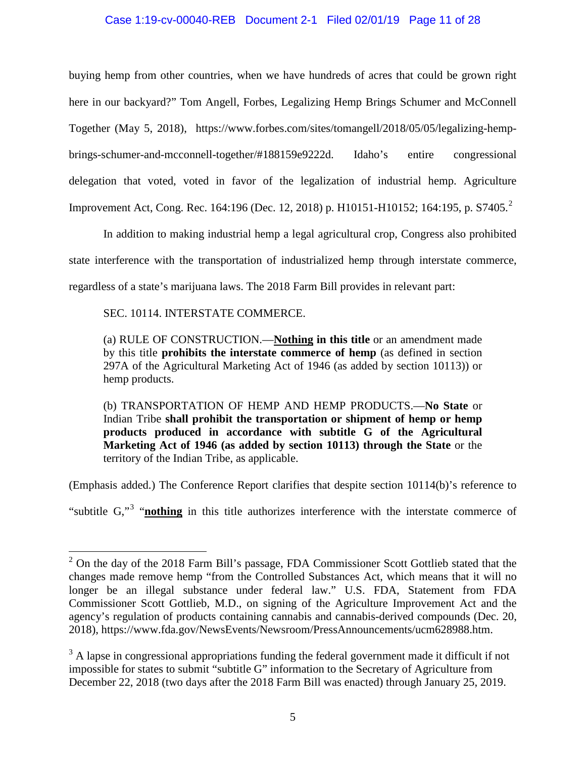## Case 1:19-cv-00040-REB Document 2-1 Filed 02/01/19 Page 11 of 28

buying hemp from other countries, when we have hundreds of acres that could be grown right here in our backyard?" Tom Angell, Forbes, Legalizing Hemp Brings Schumer and McConnell Together (May 5, 2018), https://www.forbes.com/sites/tomangell/2018/05/05/legalizing-hempbrings-schumer-and-mcconnell-together/#188159e9222d. Idaho's entire congressional delegation that voted, voted in favor of the legalization of industrial hemp. Agriculture Improvement Act, Cong. Rec. 164:196 (Dec. 1[2](#page-10-0), 2018) p. H10151-H10152; 164:195, p. S7405.<sup>2</sup>

In addition to making industrial hemp a legal agricultural crop, Congress also prohibited state interference with the transportation of industrialized hemp through interstate commerce, regardless of a state's marijuana laws. The 2018 Farm Bill provides in relevant part:

SEC. 10114. INTERSTATE COMMERCE.

(a) RULE OF CONSTRUCTION.—**Nothing in this title** or an amendment made by this title **prohibits the interstate commerce of hemp** (as defined in section 297A of the Agricultural Marketing Act of 1946 (as added by section 10113)) or hemp products.

(b) TRANSPORTATION OF HEMP AND HEMP PRODUCTS.—**No State** or Indian Tribe **shall prohibit the transportation or shipment of hemp or hemp products produced in accordance with subtitle G of the Agricultural Marketing Act of 1946 (as added by section 10113) through the State** or the territory of the Indian Tribe, as applicable.

(Emphasis added.) The Conference Report clarifies that despite section 10114(b)'s reference to

"subtitle G,"<sup>[3](#page-10-1)</sup> "**nothing** in this title authorizes interference with the interstate commerce of

<span id="page-10-0"></span> $2$  On the day of the 2018 Farm Bill's passage, FDA Commissioner Scott Gottlieb stated that the changes made remove hemp "from the Controlled Substances Act, which means that it will no longer be an illegal substance under federal law." U.S. FDA, Statement from FDA Commissioner Scott Gottlieb, M.D., on signing of the Agriculture Improvement Act and the agency's regulation of products containing cannabis and cannabis-derived compounds (Dec. 20, 2018), https://www.fda.gov/NewsEvents/Newsroom/PressAnnouncements/ucm628988.htm.

<span id="page-10-1"></span><sup>&</sup>lt;sup>3</sup> A lapse in congressional appropriations funding the federal government made it difficult if not impossible for states to submit "subtitle G" information to the Secretary of Agriculture from December 22, 2018 (two days after the 2018 Farm Bill was enacted) through January 25, 2019.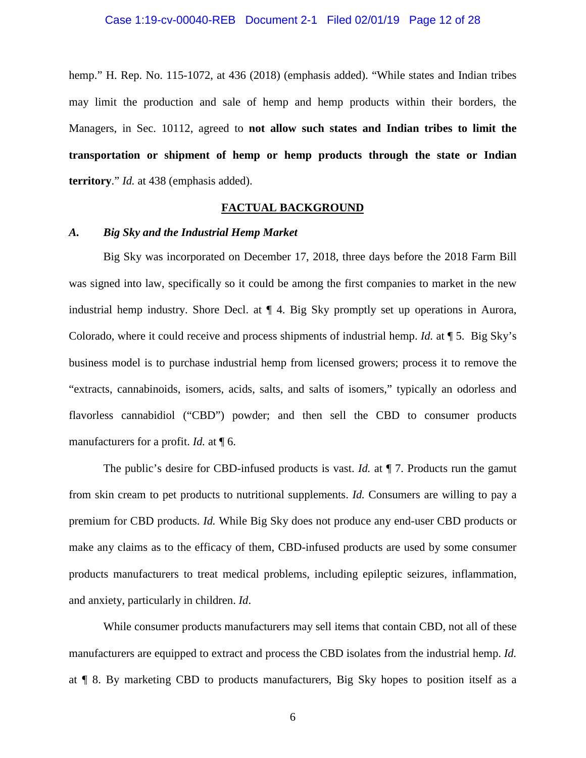hemp." H. Rep. No. 115-1072, at 436 (2018) (emphasis added). "While states and Indian tribes may limit the production and sale of hemp and hemp products within their borders, the Managers, in Sec. 10112, agreed to **not allow such states and Indian tribes to limit the transportation or shipment of hemp or hemp products through the state or Indian territory**." *Id.* at 438 (emphasis added).

## **FACTUAL BACKGROUND**

## *A. Big Sky and the Industrial Hemp Market*

Big Sky was incorporated on December 17, 2018, three days before the 2018 Farm Bill was signed into law, specifically so it could be among the first companies to market in the new industrial hemp industry. Shore Decl. at ¶ 4. Big Sky promptly set up operations in Aurora, Colorado, where it could receive and process shipments of industrial hemp. *Id.* at ¶ 5. Big Sky's business model is to purchase industrial hemp from licensed growers; process it to remove the "extracts, cannabinoids, isomers, acids, salts, and salts of isomers," typically an odorless and flavorless cannabidiol ("CBD") powder; and then sell the CBD to consumer products manufacturers for a profit. *Id.* at ¶ 6.

The public's desire for CBD-infused products is vast. *Id.* at  $\P$  7. Products run the gamut from skin cream to pet products to nutritional supplements. *Id.* Consumers are willing to pay a premium for CBD products. *Id.* While Big Sky does not produce any end-user CBD products or make any claims as to the efficacy of them, CBD-infused products are used by some consumer products manufacturers to treat medical problems, including epileptic seizures, inflammation, and anxiety, particularly in children. *Id*.

While consumer products manufacturers may sell items that contain CBD, not all of these manufacturers are equipped to extract and process the CBD isolates from the industrial hemp. *Id.* at ¶ 8. By marketing CBD to products manufacturers, Big Sky hopes to position itself as a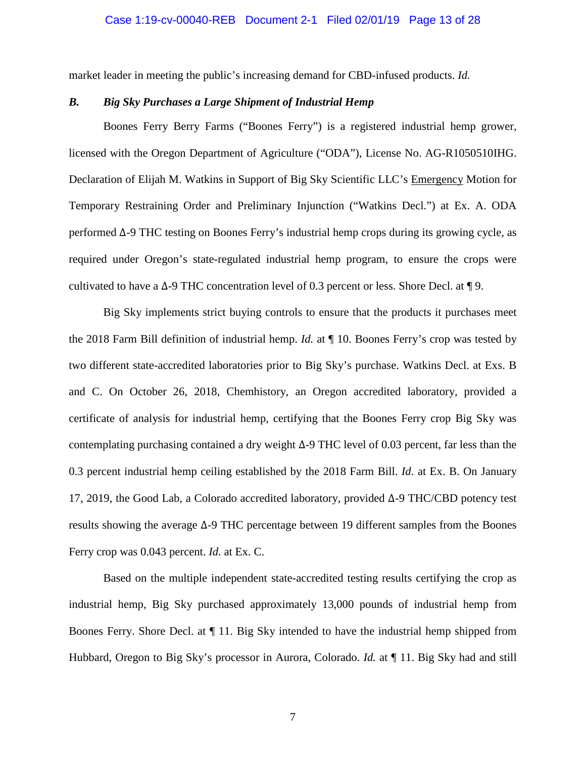#### Case 1:19-cv-00040-REB Document 2-1 Filed 02/01/19 Page 13 of 28

market leader in meeting the public's increasing demand for CBD-infused products. *Id.*

## *B. Big Sky Purchases a Large Shipment of Industrial Hemp*

Boones Ferry Berry Farms ("Boones Ferry") is a registered industrial hemp grower, licensed with the Oregon Department of Agriculture ("ODA"), License No. AG-R1050510IHG. Declaration of Elijah M. Watkins in Support of Big Sky Scientific LLC's Emergency Motion for Temporary Restraining Order and Preliminary Injunction ("Watkins Decl.") at Ex. A. ODA performed ∆-9 THC testing on Boones Ferry's industrial hemp crops during its growing cycle, as required under Oregon's state-regulated industrial hemp program, to ensure the crops were cultivated to have a ∆-9 THC concentration level of 0.3 percent or less. Shore Decl. at ¶ 9.

Big Sky implements strict buying controls to ensure that the products it purchases meet the 2018 Farm Bill definition of industrial hemp. *Id.* at ¶ 10. Boones Ferry's crop was tested by two different state-accredited laboratories prior to Big Sky's purchase. Watkins Decl. at Exs. B and C. On October 26, 2018, Chemhistory, an Oregon accredited laboratory, provided a certificate of analysis for industrial hemp, certifying that the Boones Ferry crop Big Sky was contemplating purchasing contained a dry weight ∆-9 THC level of 0.03 percent, far less than the 0.3 percent industrial hemp ceiling established by the 2018 Farm Bill. *Id.* at Ex. B. On January 17, 2019, the Good Lab, a Colorado accredited laboratory, provided ∆-9 THC/CBD potency test results showing the average ∆-9 THC percentage between 19 different samples from the Boones Ferry crop was 0.043 percent. *Id.* at Ex. C.

Based on the multiple independent state-accredited testing results certifying the crop as industrial hemp, Big Sky purchased approximately 13,000 pounds of industrial hemp from Boones Ferry. Shore Decl. at ¶ 11. Big Sky intended to have the industrial hemp shipped from Hubbard, Oregon to Big Sky's processor in Aurora, Colorado. *Id.* at ¶ 11. Big Sky had and still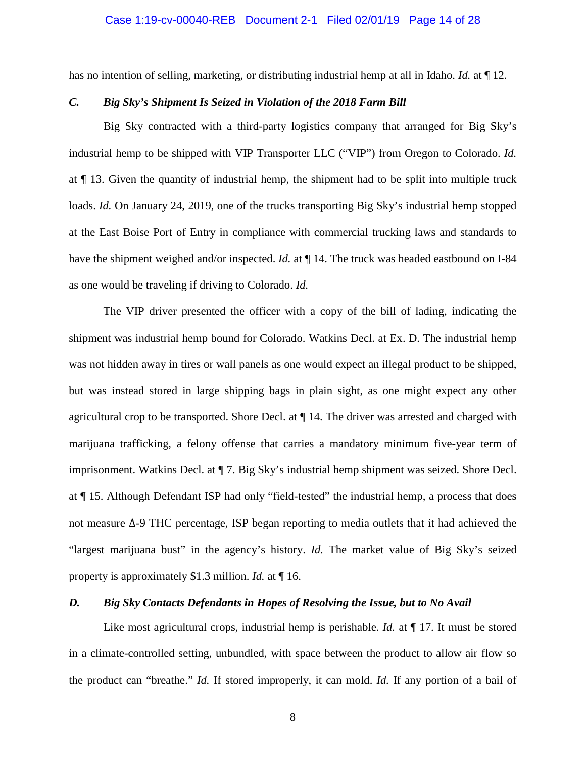#### Case 1:19-cv-00040-REB Document 2-1 Filed 02/01/19 Page 14 of 28

has no intention of selling, marketing, or distributing industrial hemp at all in Idaho. *Id.* at ¶ 12.

## *C. Big Sky's Shipment Is Seized in Violation of the 2018 Farm Bill*

Big Sky contracted with a third-party logistics company that arranged for Big Sky's industrial hemp to be shipped with VIP Transporter LLC ("VIP") from Oregon to Colorado. *Id.* at ¶ 13. Given the quantity of industrial hemp, the shipment had to be split into multiple truck loads. *Id.* On January 24, 2019, one of the trucks transporting Big Sky's industrial hemp stopped at the East Boise Port of Entry in compliance with commercial trucking laws and standards to have the shipment weighed and/or inspected. *Id.* at  $\P$  14. The truck was headed eastbound on I-84 as one would be traveling if driving to Colorado. *Id.*

The VIP driver presented the officer with a copy of the bill of lading, indicating the shipment was industrial hemp bound for Colorado. Watkins Decl. at Ex. D. The industrial hemp was not hidden away in tires or wall panels as one would expect an illegal product to be shipped, but was instead stored in large shipping bags in plain sight, as one might expect any other agricultural crop to be transported. Shore Decl. at ¶ 14. The driver was arrested and charged with marijuana trafficking, a felony offense that carries a mandatory minimum five-year term of imprisonment. Watkins Decl. at ¶ 7. Big Sky's industrial hemp shipment was seized. Shore Decl. at ¶ 15. Although Defendant ISP had only "field-tested" the industrial hemp, a process that does not measure ∆-9 THC percentage, ISP began reporting to media outlets that it had achieved the "largest marijuana bust" in the agency's history. *Id.* The market value of Big Sky's seized property is approximately \$1.3 million. *Id.* at ¶ 16.

# *D. Big Sky Contacts Defendants in Hopes of Resolving the Issue, but to No Avail*

Like most agricultural crops, industrial hemp is perishable. *Id.* at  $\P$  17. It must be stored in a climate-controlled setting, unbundled, with space between the product to allow air flow so the product can "breathe." *Id.* If stored improperly, it can mold. *Id.* If any portion of a bail of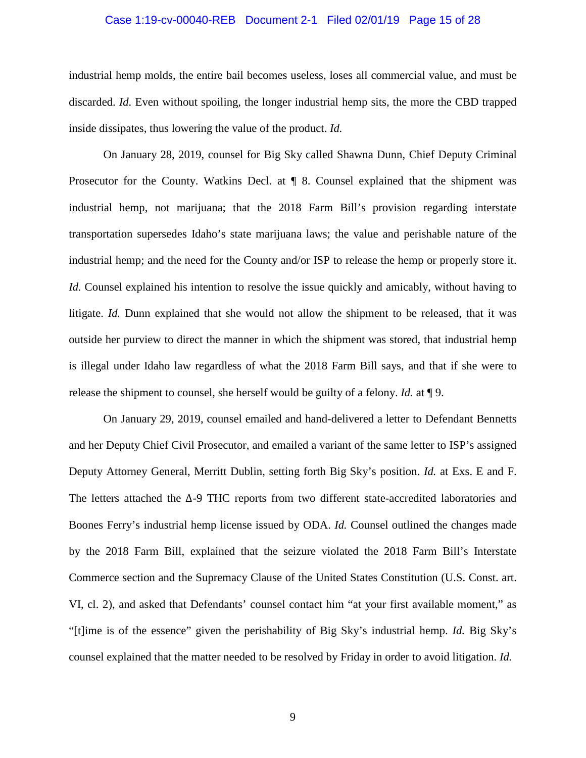# Case 1:19-cv-00040-REB Document 2-1 Filed 02/01/19 Page 15 of 28

industrial hemp molds, the entire bail becomes useless, loses all commercial value, and must be discarded. *Id.* Even without spoiling, the longer industrial hemp sits, the more the CBD trapped inside dissipates, thus lowering the value of the product. *Id.*

On January 28, 2019, counsel for Big Sky called Shawna Dunn, Chief Deputy Criminal Prosecutor for the County. Watkins Decl. at  $\P$  8. Counsel explained that the shipment was industrial hemp, not marijuana; that the 2018 Farm Bill's provision regarding interstate transportation supersedes Idaho's state marijuana laws; the value and perishable nature of the industrial hemp; and the need for the County and/or ISP to release the hemp or properly store it. *Id.* Counsel explained his intention to resolve the issue quickly and amicably, without having to litigate. *Id.* Dunn explained that she would not allow the shipment to be released, that it was outside her purview to direct the manner in which the shipment was stored, that industrial hemp is illegal under Idaho law regardless of what the 2018 Farm Bill says, and that if she were to release the shipment to counsel, she herself would be guilty of a felony. *Id.* at ¶ 9.

On January 29, 2019, counsel emailed and hand-delivered a letter to Defendant Bennetts and her Deputy Chief Civil Prosecutor, and emailed a variant of the same letter to ISP's assigned Deputy Attorney General, Merritt Dublin, setting forth Big Sky's position. *Id.* at Exs. E and F. The letters attached the ∆-9 THC reports from two different state-accredited laboratories and Boones Ferry's industrial hemp license issued by ODA. *Id.* Counsel outlined the changes made by the 2018 Farm Bill, explained that the seizure violated the 2018 Farm Bill's Interstate Commerce section and the Supremacy Clause of the United States Constitution (U.S. Const. art. VI, cl. 2), and asked that Defendants' counsel contact him "at your first available moment," as "[t]ime is of the essence" given the perishability of Big Sky's industrial hemp. *Id.* Big Sky's counsel explained that the matter needed to be resolved by Friday in order to avoid litigation. *Id.*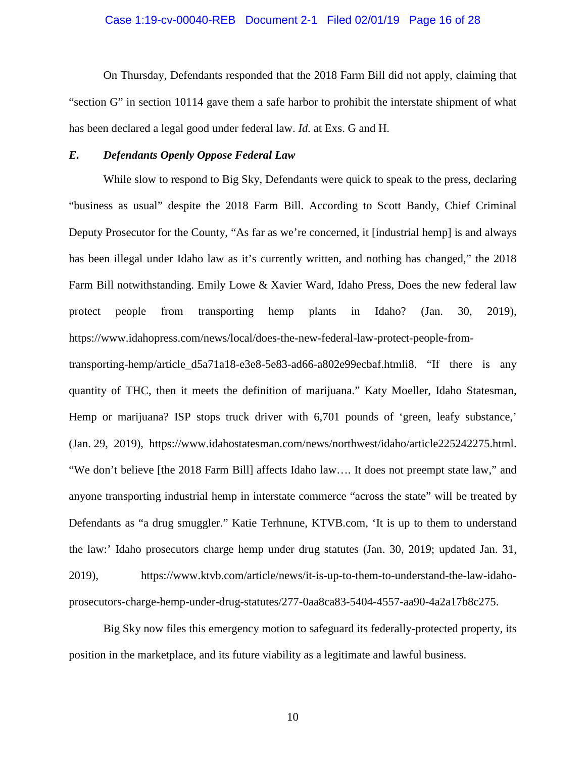#### Case 1:19-cv-00040-REB Document 2-1 Filed 02/01/19 Page 16 of 28

On Thursday, Defendants responded that the 2018 Farm Bill did not apply, claiming that "section G" in section 10114 gave them a safe harbor to prohibit the interstate shipment of what has been declared a legal good under federal law. *Id.* at Exs. G and H.

## *E. Defendants Openly Oppose Federal Law*

While slow to respond to Big Sky, Defendants were quick to speak to the press, declaring "business as usual" despite the 2018 Farm Bill. According to Scott Bandy, Chief Criminal Deputy Prosecutor for the County, "As far as we're concerned, it [industrial hemp] is and always has been illegal under Idaho law as it's currently written, and nothing has changed," the 2018 Farm Bill notwithstanding. Emily Lowe & Xavier Ward, Idaho Press, Does the new federal law protect people from transporting hemp plants in Idaho? (Jan. 30, 2019), https://www.idahopress.com/news/local/does-the-new-federal-law-protect-people-from-

transporting-hemp/article\_d5a71a18-e3e8-5e83-ad66-a802e99ecbaf.htmli8. "If there is any quantity of THC, then it meets the definition of marijuana." Katy Moeller, Idaho Statesman, Hemp or marijuana? ISP stops truck driver with 6,701 pounds of 'green, leafy substance,' (Jan. 29, 2019), https://www.idahostatesman.com/news/northwest/idaho/article225242275.html. "We don't believe [the 2018 Farm Bill] affects Idaho law…. It does not preempt state law," and anyone transporting industrial hemp in interstate commerce "across the state" will be treated by Defendants as "a drug smuggler." Katie Terhnune, KTVB.com, 'It is up to them to understand the law:' Idaho prosecutors charge hemp under drug statutes (Jan. 30, 2019; updated Jan. 31, 2019), https://www.ktvb.com/article/news/it-is-up-to-them-to-understand-the-law-idahoprosecutors-charge-hemp-under-drug-statutes/277-0aa8ca83-5404-4557-aa90-4a2a17b8c275.

Big Sky now files this emergency motion to safeguard its federally-protected property, its position in the marketplace, and its future viability as a legitimate and lawful business.

10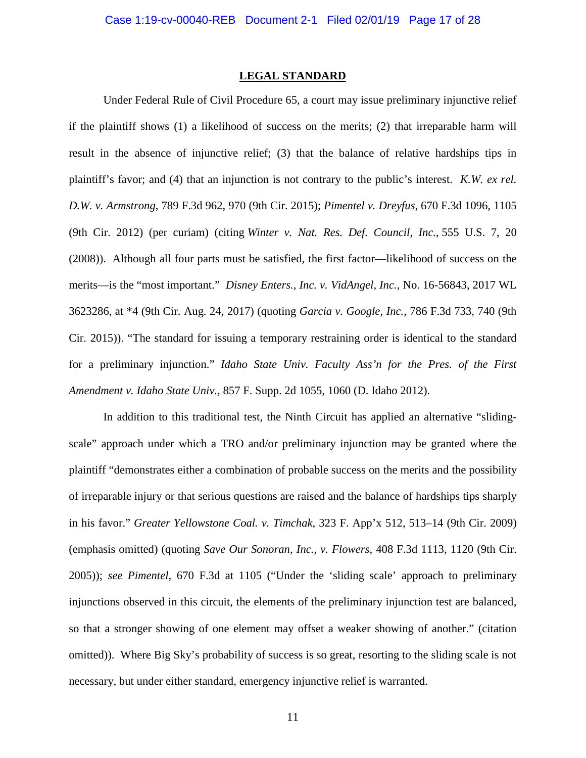#### **LEGAL STANDARD**

Under Federal Rule of Civil Procedure 65, a court may issue preliminary injunctive relief if the plaintiff shows (1) a likelihood of success on the merits; (2) that irreparable harm will result in the absence of injunctive relief; (3) that the balance of relative hardships tips in plaintiff's favor; and (4) that an injunction is not contrary to the public's interest. *K.W. ex rel. D.W. v. Armstrong*, 789 F.3d 962, 970 (9th Cir. 2015); *Pimentel v. Dreyfus*, 670 F.3d 1096, 1105 (9th Cir. 2012) (per curiam) (citing *Winter v. Nat. Res. Def. Council, Inc.*, 555 U.S. 7, 20 (2008)). Although all four parts must be satisfied, the first factor—likelihood of success on the merits—is the "most important." *Disney Enters., Inc. v. VidAngel, Inc.*, No. 16-56843, 2017 WL 3623286, at \*4 (9th Cir. Aug. 24, 2017) (quoting *Garcia v. Google, Inc.*, 786 F.3d 733, 740 (9th Cir. 2015)). "The standard for issuing a temporary restraining order is identical to the standard for a preliminary injunction." *Idaho State Univ. Faculty Ass'n for the Pres. of the First Amendment v. Idaho State Univ.*, 857 F. Supp. 2d 1055, 1060 (D. Idaho 2012).

In addition to this traditional test, the Ninth Circuit has applied an alternative "slidingscale" approach under which a TRO and/or preliminary injunction may be granted where the plaintiff "demonstrates either a combination of probable success on the merits and the possibility of irreparable injury or that serious questions are raised and the balance of hardships tips sharply in his favor." *Greater Yellowstone Coal. v. Timchak*, 323 F. App'x 512, 513–14 (9th Cir. 2009) (emphasis omitted) (quoting *Save Our Sonoran, Inc., v. Flowers*, 408 F.3d 1113, 1120 (9th Cir. 2005)); *see Pimentel*, 670 F.3d at 1105 ("Under the 'sliding scale' approach to preliminary injunctions observed in this circuit, the elements of the preliminary injunction test are balanced, so that a stronger showing of one element may offset a weaker showing of another." (citation omitted)). Where Big Sky's probability of success is so great, resorting to the sliding scale is not necessary, but under either standard, emergency injunctive relief is warranted.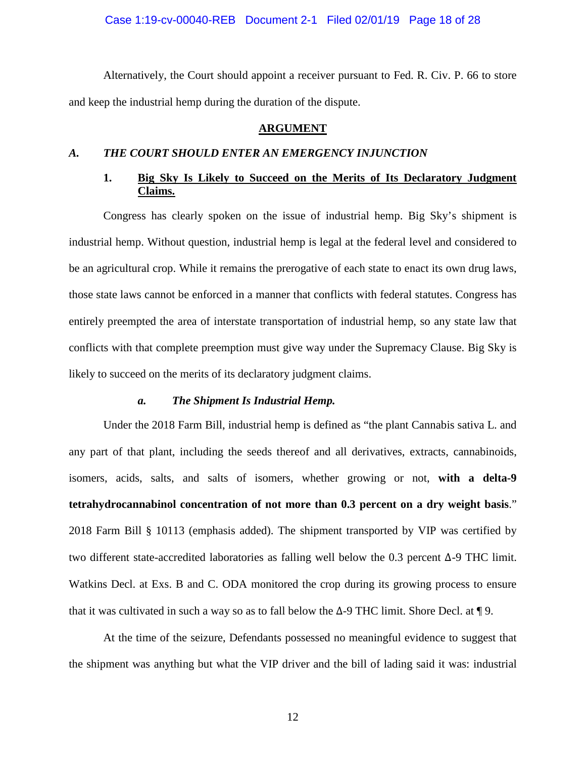Case 1:19-cv-00040-REB Document 2-1 Filed 02/01/19 Page 18 of 28

Alternatively, the Court should appoint a receiver pursuant to Fed. R. Civ. P. 66 to store and keep the industrial hemp during the duration of the dispute.

## **ARGUMENT**

## *A. THE COURT SHOULD ENTER AN EMERGENCY INJUNCTION*

# **1. Big Sky Is Likely to Succeed on the Merits of Its Declaratory Judgment Claims.**

Congress has clearly spoken on the issue of industrial hemp. Big Sky's shipment is industrial hemp. Without question, industrial hemp is legal at the federal level and considered to be an agricultural crop. While it remains the prerogative of each state to enact its own drug laws, those state laws cannot be enforced in a manner that conflicts with federal statutes. Congress has entirely preempted the area of interstate transportation of industrial hemp, so any state law that conflicts with that complete preemption must give way under the Supremacy Clause. Big Sky is likely to succeed on the merits of its declaratory judgment claims.

#### *a. The Shipment Is Industrial Hemp.*

Under the 2018 Farm Bill, industrial hemp is defined as "the plant Cannabis sativa L. and any part of that plant, including the seeds thereof and all derivatives, extracts, cannabinoids, isomers, acids, salts, and salts of isomers, whether growing or not, **with a delta-9 tetrahydrocannabinol concentration of not more than 0.3 percent on a dry weight basis**." 2018 Farm Bill § 10113 (emphasis added). The shipment transported by VIP was certified by two different state-accredited laboratories as falling well below the 0.3 percent ∆-9 THC limit. Watkins Decl. at Exs. B and C. ODA monitored the crop during its growing process to ensure that it was cultivated in such a way so as to fall below the  $\Delta$ -9 THC limit. Shore Decl. at ¶ 9.

At the time of the seizure, Defendants possessed no meaningful evidence to suggest that the shipment was anything but what the VIP driver and the bill of lading said it was: industrial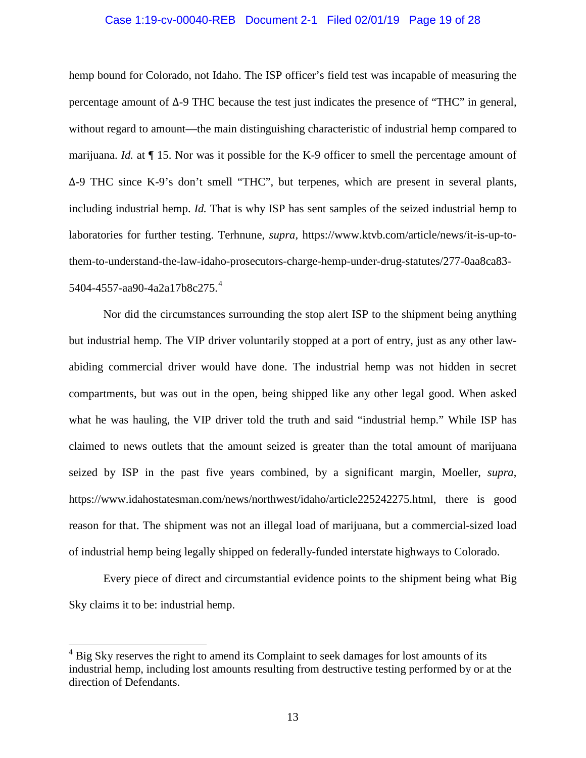#### Case 1:19-cv-00040-REB Document 2-1 Filed 02/01/19 Page 19 of 28

hemp bound for Colorado, not Idaho. The ISP officer's field test was incapable of measuring the percentage amount of ∆-9 THC because the test just indicates the presence of "THC" in general, without regard to amount—the main distinguishing characteristic of industrial hemp compared to marijuana. *Id.* at  $\P$  15. Nor was it possible for the K-9 officer to smell the percentage amount of ∆-9 THC since K-9's don't smell "THC", but terpenes, which are present in several plants, including industrial hemp. *Id.* That is why ISP has sent samples of the seized industrial hemp to laboratories for further testing. Terhnune, *supra,* https://www.ktvb.com/article/news/it-is-up-tothem-to-understand-the-law-idaho-prosecutors-charge-hemp-under-drug-statutes/277-0aa8ca83- 5404-4557-aa90-4a2a17b8c275.[4](#page-18-0)

Nor did the circumstances surrounding the stop alert ISP to the shipment being anything but industrial hemp. The VIP driver voluntarily stopped at a port of entry, just as any other lawabiding commercial driver would have done. The industrial hemp was not hidden in secret compartments, but was out in the open, being shipped like any other legal good. When asked what he was hauling, the VIP driver told the truth and said "industrial hemp." While ISP has claimed to news outlets that the amount seized is greater than the total amount of marijuana seized by ISP in the past five years combined, by a significant margin, Moeller, *supra*, https://www.idahostatesman.com/news/northwest/idaho/article225242275.html, there is good reason for that. The shipment was not an illegal load of marijuana, but a commercial-sized load of industrial hemp being legally shipped on federally-funded interstate highways to Colorado.

Every piece of direct and circumstantial evidence points to the shipment being what Big Sky claims it to be: industrial hemp.

<span id="page-18-0"></span> $4$  Big Sky reserves the right to amend its Complaint to seek damages for lost amounts of its industrial hemp, including lost amounts resulting from destructive testing performed by or at the direction of Defendants.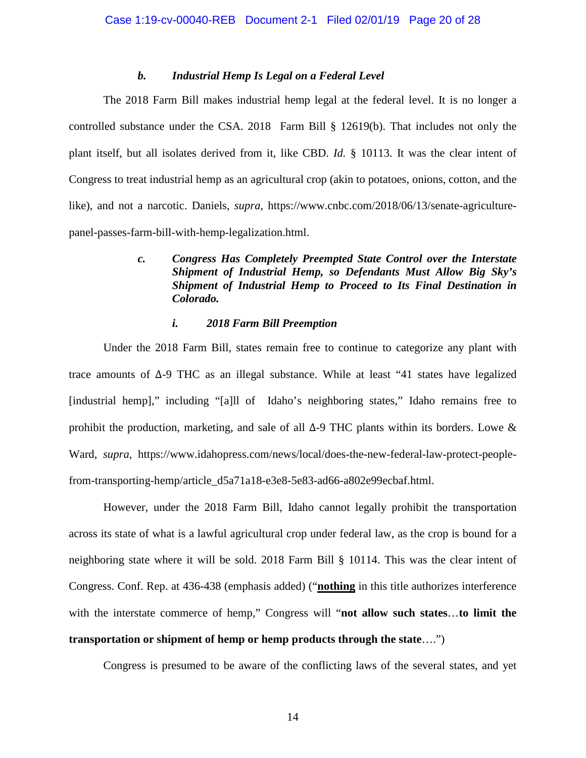## *b. Industrial Hemp Is Legal on a Federal Level*

The 2018 Farm Bill makes industrial hemp legal at the federal level. It is no longer a controlled substance under the CSA. 2018 Farm Bill § 12619(b). That includes not only the plant itself, but all isolates derived from it, like CBD. *Id.* § 10113. It was the clear intent of Congress to treat industrial hemp as an agricultural crop (akin to potatoes, onions, cotton, and the like), and not a narcotic. Daniels, *supra*, https://www.cnbc.com/2018/06/13/senate-agriculturepanel-passes-farm-bill-with-hemp-legalization.html.

# *c. Congress Has Completely Preempted State Control over the Interstate Shipment of Industrial Hemp, so Defendants Must Allow Big Sky's Shipment of Industrial Hemp to Proceed to Its Final Destination in Colorado.*

# *i. 2018 Farm Bill Preemption*

Under the 2018 Farm Bill, states remain free to continue to categorize any plant with trace amounts of ∆-9 THC as an illegal substance. While at least "41 states have legalized [industrial hemp]," including "[a]ll of Idaho's neighboring states," Idaho remains free to prohibit the production, marketing, and sale of all ∆-9 THC plants within its borders. Lowe & Ward, *supra*, https://www.idahopress.com/news/local/does-the-new-federal-law-protect-peoplefrom-transporting-hemp/article\_d5a71a18-e3e8-5e83-ad66-a802e99ecbaf.html.

However, under the 2018 Farm Bill, Idaho cannot legally prohibit the transportation across its state of what is a lawful agricultural crop under federal law, as the crop is bound for a neighboring state where it will be sold. 2018 Farm Bill § 10114. This was the clear intent of Congress. Conf. Rep. at 436-438 (emphasis added) ("**nothing** in this title authorizes interference with the interstate commerce of hemp," Congress will "**not allow such states**…**to limit the transportation or shipment of hemp or hemp products through the state**….")

Congress is presumed to be aware of the conflicting laws of the several states, and yet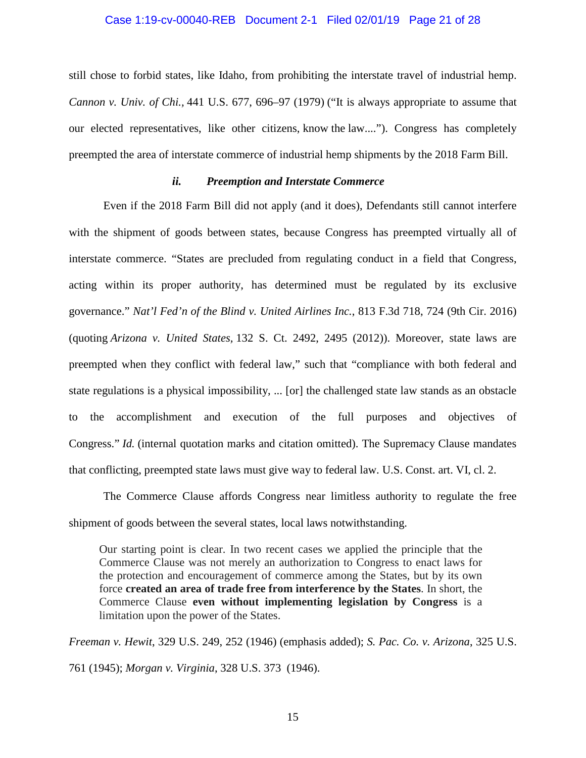#### Case 1:19-cv-00040-REB Document 2-1 Filed 02/01/19 Page 21 of 28

still chose to forbid states, like Idaho, from prohibiting the interstate travel of industrial hemp. *Cannon v. Univ. of Chi.,* 441 U.S. 677, 696–97 (1979) ("It is always appropriate to assume that our elected representatives, like other citizens, know the law...."). Congress has completely preempted the area of interstate commerce of industrial hemp shipments by the 2018 Farm Bill.

# *ii. Preemption and Interstate Commerce*

Even if the 2018 Farm Bill did not apply (and it does), Defendants still cannot interfere with the shipment of goods between states, because Congress has preempted virtually all of interstate commerce. "States are precluded from regulating conduct in a field that Congress, acting within its proper authority, has determined must be regulated by its exclusive governance." *Nat'l Fed'n of the Blind v. United Airlines Inc.*, 813 F.3d 718, 724 (9th Cir. 2016) (quoting *Arizona v. United States,* 132 S. Ct. 2492, 2495 (2012)). Moreover, state laws are preempted when they conflict with federal law," such that "compliance with both federal and state regulations is a physical impossibility, ... [or] the challenged state law stands as an obstacle to the accomplishment and execution of the full purposes and objectives of Congress." *Id.* (internal quotation marks and citation omitted). The Supremacy Clause mandates that conflicting, preempted state laws must give way to federal law. U.S. Const. art. VI, cl. 2.

The Commerce Clause affords Congress near limitless authority to regulate the free shipment of goods between the several states, local laws notwithstanding.

Our starting point is clear. In two recent cases we applied the principle that the Commerce Clause was not merely an authorization to Congress to enact laws for the protection and encouragement of commerce among the States, but by its own force **created an area of trade free from interference by the States**. In short, the Commerce Clause **even without implementing legislation by Congress** is a limitation upon the power of the States.

*Freeman v. Hewit*, 329 U.S. 249, 252 (1946) (emphasis added); *S. Pac. Co. v. Arizona*, 325 U.S. 761 (1945); *Morgan v. Virginia*, 328 U.S. 373 (1946).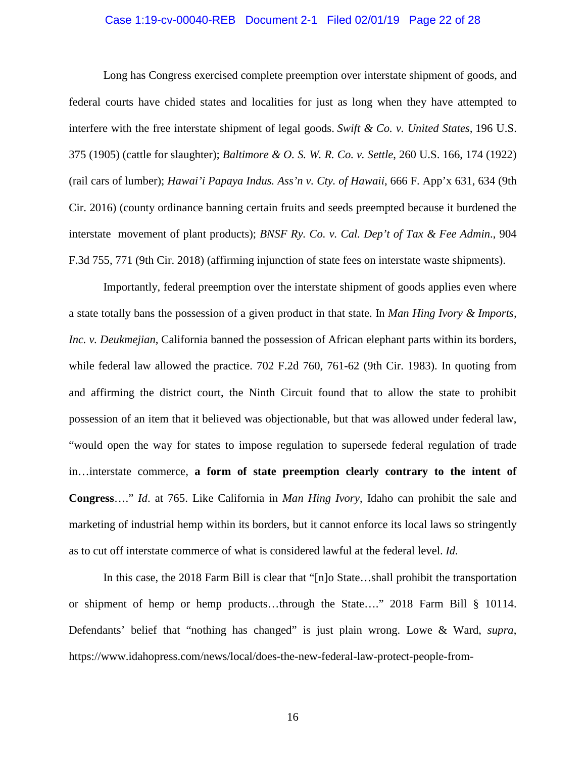#### Case 1:19-cv-00040-REB Document 2-1 Filed 02/01/19 Page 22 of 28

Long has Congress exercised complete preemption over interstate shipment of goods, and federal courts have chided states and localities for just as long when they have attempted to interfere with the free interstate shipment of legal goods. *Swift & Co. v. United States,* 196 U.S. 375 (1905) (cattle for slaughter); *Baltimore & O. S. W. R. Co. v. Settle*, 260 U.S. 166, 174 (1922) (rail cars of lumber); *Hawai'i Papaya Indus. Ass'n v. Cty. of Hawaii*, 666 F. App'x 631, 634 (9th Cir. 2016) (county ordinance banning certain fruits and seeds preempted because it burdened the interstate movement of plant products); *BNSF Ry. Co. v. Cal. Dep't of Tax & Fee Admin*., 904 F.3d 755, 771 (9th Cir. 2018) (affirming injunction of state fees on interstate waste shipments).

Importantly, federal preemption over the interstate shipment of goods applies even where a state totally bans the possession of a given product in that state. In *Man Hing Ivory & Imports, Inc. v. Deukmejian*, California banned the possession of African elephant parts within its borders, while federal law allowed the practice. 702 F.2d 760, 761-62 (9th Cir. 1983). In quoting from and affirming the district court, the Ninth Circuit found that to allow the state to prohibit possession of an item that it believed was objectionable, but that was allowed under federal law, "would open the way for states to impose regulation to supersede federal regulation of trade in…interstate commerce, **a form of state preemption clearly contrary to the intent of Congress**…." *Id*. at 765. Like California in *Man Hing Ivory*, Idaho can prohibit the sale and marketing of industrial hemp within its borders, but it cannot enforce its local laws so stringently as to cut off interstate commerce of what is considered lawful at the federal level. *Id.*

In this case, the 2018 Farm Bill is clear that "[n]o State…shall prohibit the transportation or shipment of hemp or hemp products…through the State…." 2018 Farm Bill § 10114. Defendants' belief that "nothing has changed" is just plain wrong. Lowe & Ward, *supra*, https://www.idahopress.com/news/local/does-the-new-federal-law-protect-people-from-

16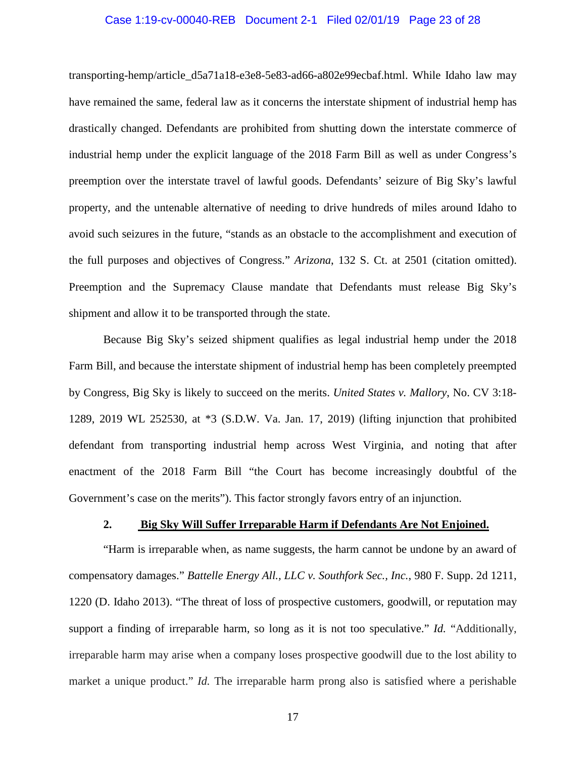#### Case 1:19-cv-00040-REB Document 2-1 Filed 02/01/19 Page 23 of 28

transporting-hemp/article\_d5a71a18-e3e8-5e83-ad66-a802e99ecbaf.html. While Idaho law may have remained the same, federal law as it concerns the interstate shipment of industrial hemp has drastically changed. Defendants are prohibited from shutting down the interstate commerce of industrial hemp under the explicit language of the 2018 Farm Bill as well as under Congress's preemption over the interstate travel of lawful goods. Defendants' seizure of Big Sky's lawful property, and the untenable alternative of needing to drive hundreds of miles around Idaho to avoid such seizures in the future, "stands as an obstacle to the accomplishment and execution of the full purposes and objectives of Congress." *Arizona*, 132 S. Ct. at 2501 (citation omitted). Preemption and the Supremacy Clause mandate that Defendants must release Big Sky's shipment and allow it to be transported through the state.

Because Big Sky's seized shipment qualifies as legal industrial hemp under the 2018 Farm Bill, and because the interstate shipment of industrial hemp has been completely preempted by Congress, Big Sky is likely to succeed on the merits. *United States v. Mallory*, No. CV 3:18- 1289, 2019 WL 252530, at \*3 (S.D.W. Va. Jan. 17, 2019) (lifting injunction that prohibited defendant from transporting industrial hemp across West Virginia, and noting that after enactment of the 2018 Farm Bill "the Court has become increasingly doubtful of the Government's case on the merits"). This factor strongly favors entry of an injunction.

#### **2. Big Sky Will Suffer Irreparable Harm if Defendants Are Not Enjoined.**

"Harm is irreparable when, as name suggests, the harm cannot be undone by an award of compensatory damages." *Battelle Energy All., LLC v. Southfork Sec., Inc.*, 980 F. Supp. 2d 1211, 1220 (D. Idaho 2013). "The threat of loss of prospective customers, goodwill, or reputation may support a finding of irreparable harm, so long as it is not too speculative." *Id.* "Additionally, irreparable harm may arise when a company loses prospective goodwill due to the lost ability to market a unique product." *Id.* The irreparable harm prong also is satisfied where a perishable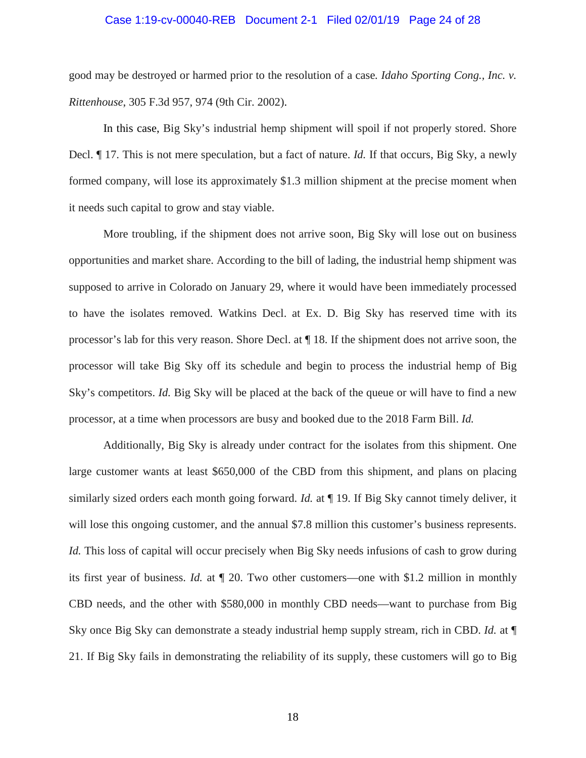# Case 1:19-cv-00040-REB Document 2-1 Filed 02/01/19 Page 24 of 28

good may be destroyed or harmed prior to the resolution of a case*. Idaho Sporting Cong., Inc. v. Rittenhouse*, 305 F.3d 957, 974 (9th Cir. 2002).

In this case, Big Sky's industrial hemp shipment will spoil if not properly stored. Shore Decl. ¶ 17. This is not mere speculation, but a fact of nature. *Id.* If that occurs, Big Sky, a newly formed company, will lose its approximately \$1.3 million shipment at the precise moment when it needs such capital to grow and stay viable.

More troubling, if the shipment does not arrive soon, Big Sky will lose out on business opportunities and market share. According to the bill of lading, the industrial hemp shipment was supposed to arrive in Colorado on January 29, where it would have been immediately processed to have the isolates removed. Watkins Decl. at Ex. D. Big Sky has reserved time with its processor's lab for this very reason. Shore Decl. at ¶ 18. If the shipment does not arrive soon, the processor will take Big Sky off its schedule and begin to process the industrial hemp of Big Sky's competitors. *Id.* Big Sky will be placed at the back of the queue or will have to find a new processor, at a time when processors are busy and booked due to the 2018 Farm Bill. *Id.*

Additionally, Big Sky is already under contract for the isolates from this shipment. One large customer wants at least \$650,000 of the CBD from this shipment, and plans on placing similarly sized orders each month going forward. *Id.* at ¶ 19. If Big Sky cannot timely deliver, it will lose this ongoing customer, and the annual \$7.8 million this customer's business represents. *Id.* This loss of capital will occur precisely when Big Sky needs infusions of cash to grow during its first year of business. *Id.* at ¶ 20. Two other customers—one with \$1.2 million in monthly CBD needs, and the other with \$580,000 in monthly CBD needs—want to purchase from Big Sky once Big Sky can demonstrate a steady industrial hemp supply stream, rich in CBD. *Id.* at ¶ 21. If Big Sky fails in demonstrating the reliability of its supply, these customers will go to Big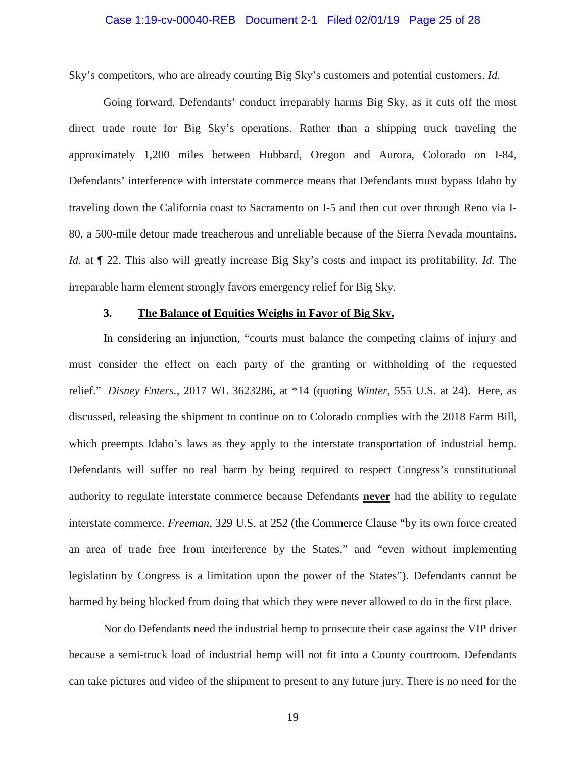#### Case 1:19-cv-00040-REB Document 2-1 Filed 02/01/19 Page 25 of 28

Sky's competitors, who are already courting Big Sky's customers and potential customers. *Id.*

Going forward, Defendants' conduct irreparably harms Big Sky, as it cuts off the most direct trade route for Big Sky's operations. Rather than a shipping truck traveling the approximately 1,200 miles between Hubbard, Oregon and Aurora, Colorado on I-84, Defendants' interference with interstate commerce means that Defendants must bypass Idaho by traveling down the California coast to Sacramento on I-5 and then cut over through Reno via I-80, a 500-mile detour made treacherous and unreliable because of the Sierra Nevada mountains. *Id.* at ¶ 22. This also will greatly increase Big Sky's costs and impact its profitability. *Id.* The irreparable harm element strongly favors emergency relief for Big Sky.

## **3. The Balance of Equities Weighs in Favor of Big Sky.**

In considering an injunction, "courts must balance the competing claims of injury and must consider the effect on each party of the granting or withholding of the requested relief." *Disney Enters.,* 2017 WL 3623286, at \*14 (quoting *Winter*, 555 U.S. at 24). Here, as discussed, releasing the shipment to continue on to Colorado complies with the 2018 Farm Bill, which preempts Idaho's laws as they apply to the interstate transportation of industrial hemp. Defendants will suffer no real harm by being required to respect Congress's constitutional authority to regulate interstate commerce because Defendants **never** had the ability to regulate interstate commerce. *Freeman*, 329 U.S. at 252 (the Commerce Clause "by its own force created an area of trade free from interference by the States," and "even without implementing legislation by Congress is a limitation upon the power of the States"). Defendants cannot be harmed by being blocked from doing that which they were never allowed to do in the first place.

Nor do Defendants need the industrial hemp to prosecute their case against the VIP driver because a semi-truck load of industrial hemp will not fit into a County courtroom. Defendants can take pictures and video of the shipment to present to any future jury. There is no need for the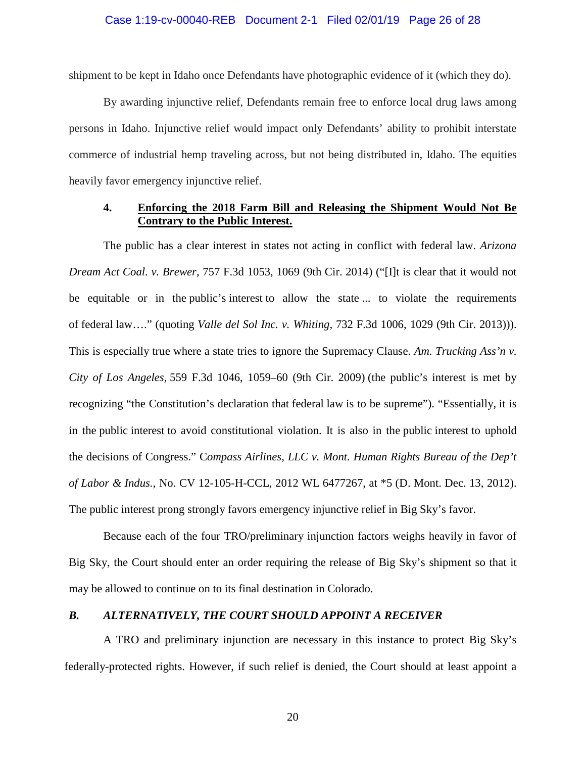shipment to be kept in Idaho once Defendants have photographic evidence of it (which they do).

By awarding injunctive relief, Defendants remain free to enforce local drug laws among persons in Idaho. Injunctive relief would impact only Defendants' ability to prohibit interstate commerce of industrial hemp traveling across, but not being distributed in, Idaho. The equities heavily favor emergency injunctive relief.

# **4. Enforcing the 2018 Farm Bill and Releasing the Shipment Would Not Be Contrary to the Public Interest.**

The public has a clear interest in states not acting in conflict with federal law. *Arizona Dream Act Coal. v. Brewer*, 757 F.3d 1053, 1069 (9th Cir. 2014) ("[I]t is clear that it would not be equitable or in the public's interest to allow the state ... to violate the requirements of federal law…." (quoting *Valle del Sol Inc. v. Whiting*, 732 F.3d 1006, 1029 (9th Cir. 2013))). This is especially true where a state tries to ignore the Supremacy Clause. *Am. Trucking Ass'n v. City of Los Angeles,* 559 F.3d 1046, 1059–60 (9th Cir. 2009) (the public's interest is met by recognizing "the Constitution's declaration that federal law is to be supreme"). "Essentially, it is in the public interest to avoid constitutional violation. It is also in the public interest to uphold the decisions of Congress." C*ompass Airlines, LLC v. Mont. Human Rights Bureau of the Dep't of Labor & Indus.*, No. CV 12-105-H-CCL, 2012 WL 6477267, at \*5 (D. Mont. Dec. 13, 2012). The public interest prong strongly favors emergency injunctive relief in Big Sky's favor.

Because each of the four TRO/preliminary injunction factors weighs heavily in favor of Big Sky, the Court should enter an order requiring the release of Big Sky's shipment so that it may be allowed to continue on to its final destination in Colorado.

# *B. ALTERNATIVELY, THE COURT SHOULD APPOINT A RECEIVER*

A TRO and preliminary injunction are necessary in this instance to protect Big Sky's federally-protected rights. However, if such relief is denied, the Court should at least appoint a

20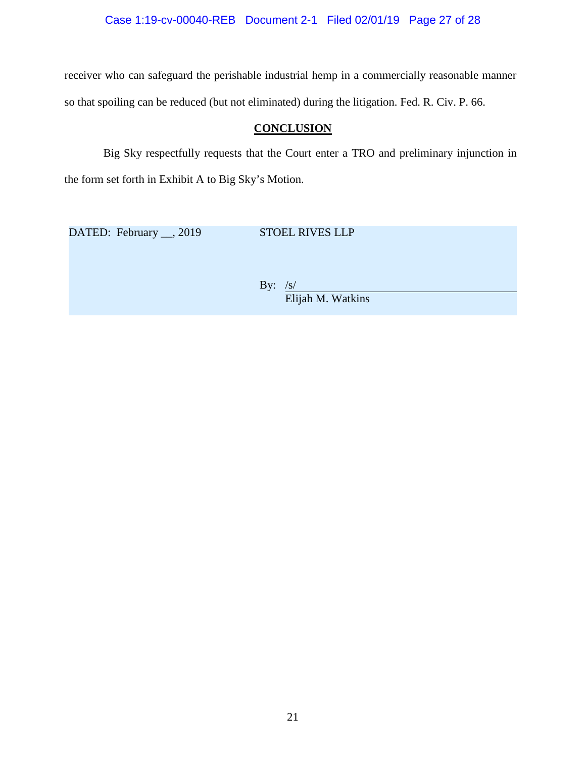Case 1:19-cv-00040-REB Document 2-1 Filed 02/01/19 Page 27 of 28

receiver who can safeguard the perishable industrial hemp in a commercially reasonable manner so that spoiling can be reduced (but not eliminated) during the litigation. Fed. R. Civ. P. 66.

# **CONCLUSION**

Big Sky respectfully requests that the Court enter a TRO and preliminary injunction in the form set forth in Exhibit A to Big Sky's Motion.

DATED: February \_\_, 2019 STOEL RIVES LLP

By:  $/s/$ Elijah M. Watkins